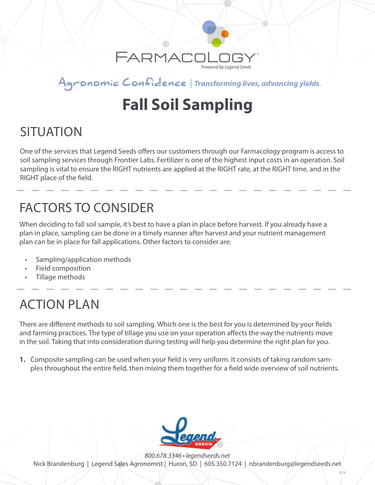

Agronomic Confidence | Transforming lives, advancing yields.

# **Fall Soil Sampling**

### SITUATION

One of the services that Legend Seeds offers our customers through our Farmacology program is access to soil sampling services through Frontier Labs. Fertilizer is one of the highest input costs in an operation. Soil sampling is vital to ensure the RIGHT nutrients are applied at the RIGHT rate, at the RIGHT time, and in the RIGHT place of the field.

### FACTORS TO CONSIDER

When deciding to fall soil sample, it's best to have a plan in place before harvest. If you already have a plan in place, sampling can be done in a timely manner after harvest and your nutrient management plan can be in place for fall applications. Other factors to consider are:

- Sampling/application methods
- Field composition
- Tillage methods

### ACTION PLAN

There are different methods to soil sampling. Which one is the best for you is determined by your fields and farming practices. The type of tillage you use on your operation affects the way the nutrients move in the soil. Taking that into consideration during testing will help you determine the right plan for you.

**1.** Composite sampling can be used when your field is very uniform. It consists of taking random samples throughout the entire field, then mixing them together for a field wide overview of soil nutrients.



*800.678.3346 • legendseeds.net* Nick Brandenburg | Legend Sales Agronomist | Huron, SD | 605.350.7124 | nbrandenburg@legendseeds.net

*9/18*